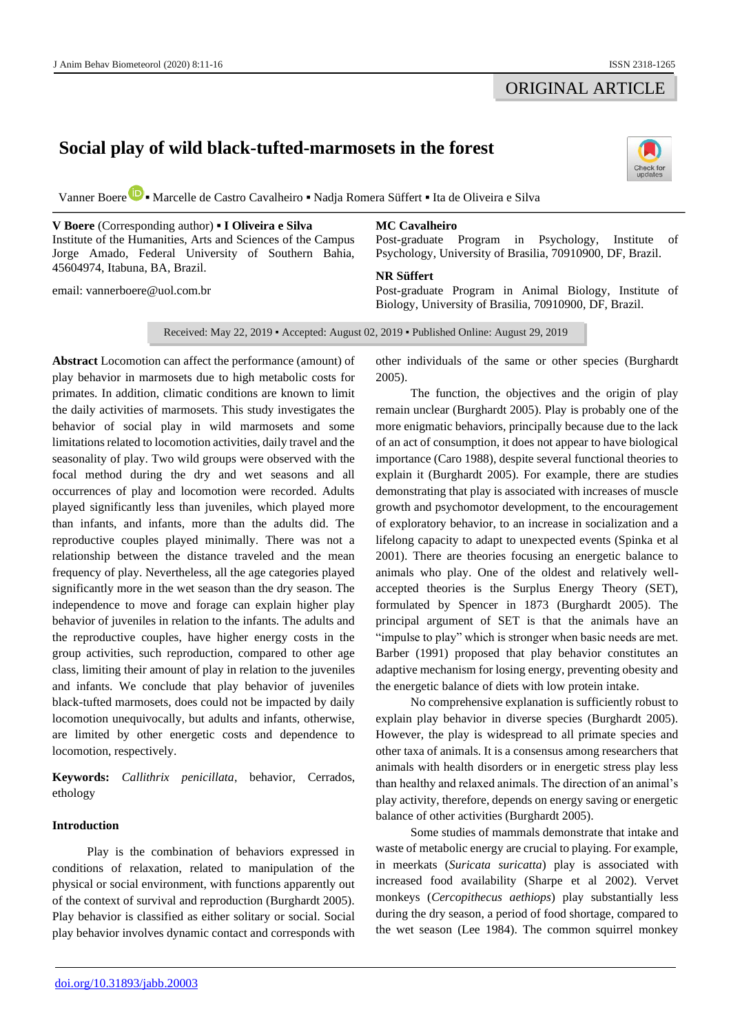## ORIGINAL ARTICLE

# **Social play of wild black-tufted-marmosets in the forest**



Vanner Boer[e](https://orcid.org/0000-0002-2239-5782) **▪** Marcelle de Castro Cavalheiro **▪** Nadja Romera Süffert **▪** Ita de Oliveira e Silva

**V Boere** (Corresponding author) **▪ I Oliveira e Silva**  Institute of the Humanities, Arts and Sciences of the Campus Jorge Amado, Federal University of Southern Bahia, 45604974, Itabuna, BA, Brazil.

email: [vannerboere@uol.com.br](mailto:vannerboere@uol.com.br)

## **MC Cavalheiro**

Post-graduate Program in Psychology, Institute of Psychology, University of Brasilia, 70910900, DF, Brazil.

### **NR Süffert**

Post-graduate Program in Animal Biology, Institute of Biology, University of Brasilia, 70910900, DF, Brazil.

Received: May 22, 2019 ▪ Accepted: August 02, 2019 ▪ Published Online: August 29, 2019

**Abstract** Locomotion can affect the performance (amount) of play behavior in marmosets due to high metabolic costs for primates. In addition, climatic conditions are known to limit the daily activities of marmosets. This study investigates the behavior of social play in wild marmosets and some limitations related to locomotion activities, daily travel and the seasonality of play. Two wild groups were observed with the focal method during the dry and wet seasons and all occurrences of play and locomotion were recorded. Adults played significantly less than juveniles, which played more than infants, and infants, more than the adults did. The reproductive couples played minimally. There was not a relationship between the distance traveled and the mean frequency of play. Nevertheless, all the age categories played significantly more in the wet season than the dry season. The independence to move and forage can explain higher play behavior of juveniles in relation to the infants. The adults and the reproductive couples, have higher energy costs in the group activities, such reproduction, compared to other age class, limiting their amount of play in relation to the juveniles and infants. We conclude that play behavior of juveniles black-tufted marmosets, does could not be impacted by daily locomotion unequivocally, but adults and infants, otherwise, are limited by other energetic costs and dependence to locomotion, respectively.

**Keywords:** *Callithrix penicillata*, behavior, Cerrados, ethology

## **Introduction**

Play is the combination of behaviors expressed in conditions of relaxation, related to manipulation of the physical or social environment, with functions apparently out of the context of survival and reproduction (Burghardt 2005). Play behavior is classified as either solitary or social. Social play behavior involves dynamic contact and corresponds with other individuals of the same or other species (Burghardt 2005).

The function, the objectives and the origin of play remain unclear (Burghardt 2005). Play is probably one of the more enigmatic behaviors, principally because due to the lack of an act of consumption, it does not appear to have biological importance (Caro 1988), despite several functional theories to explain it (Burghardt 2005). For example, there are studies demonstrating that play is associated with increases of muscle growth and psychomotor development, to the encouragement of exploratory behavior, to an increase in socialization and a lifelong capacity to adapt to unexpected events (Spinka et al 2001). There are theories focusing an energetic balance to animals who play. One of the oldest and relatively wellaccepted theories is the Surplus Energy Theory (SET), formulated by Spencer in 1873 (Burghardt 2005). The principal argument of SET is that the animals have an "impulse to play" which is stronger when basic needs are met. Barber (1991) proposed that play behavior constitutes an adaptive mechanism for losing energy, preventing obesity and the energetic balance of diets with low protein intake.

No comprehensive explanation is sufficiently robust to explain play behavior in diverse species (Burghardt 2005). However, the play is widespread to all primate species and other taxa of animals. It is a consensus among researchers that animals with health disorders or in energetic stress play less than healthy and relaxed animals. The direction of an animal's play activity, therefore, depends on energy saving or energetic balance of other activities (Burghardt 2005).

Some studies of mammals demonstrate that intake and waste of metabolic energy are crucial to playing. For example, in meerkats (*Suricata suricatta*) play is associated with increased food availability (Sharpe et al 2002). Vervet monkeys (*Cercopithecus aethiops*) play substantially less during the dry season, a period of food shortage, compared to the wet season (Lee 1984). The common squirrel monkey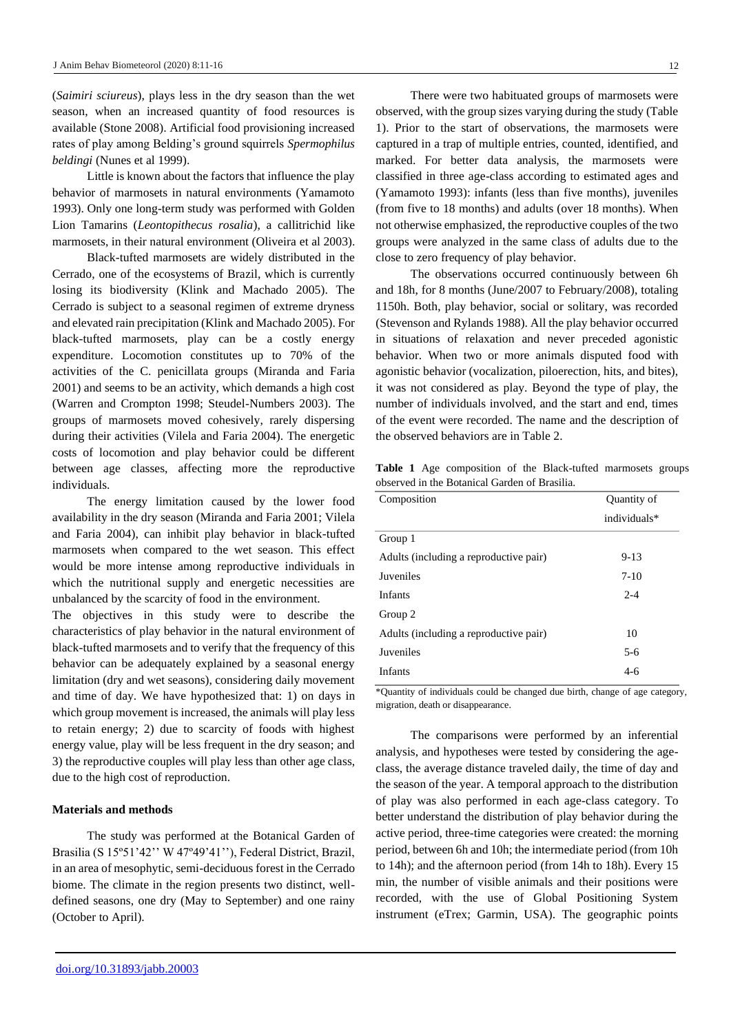(*Saimiri sciureus*), plays less in the dry season than the wet season, when an increased quantity of food resources is available (Stone 2008). Artificial food provisioning increased rates of play among Belding's ground squirrels *Spermophilus beldingi* (Nunes et al 1999).

Little is known about the factors that influence the play behavior of marmosets in natural environments (Yamamoto 1993). Only one long-term study was performed with Golden Lion Tamarins (*Leontopithecus rosalia*), a callitrichid like marmosets, in their natural environment (Oliveira et al 2003).

Black-tufted marmosets are widely distributed in the Cerrado, one of the ecosystems of Brazil, which is currently losing its biodiversity (Klink and Machado 2005). The Cerrado is subject to a seasonal regimen of extreme dryness and elevated rain precipitation (Klink and Machado 2005). For black-tufted marmosets, play can be a costly energy expenditure. Locomotion constitutes up to 70% of the activities of the C. penicillata groups (Miranda and Faria 2001) and seems to be an activity, which demands a high cost (Warren and Crompton 1998; Steudel-Numbers 2003). The groups of marmosets moved cohesively, rarely dispersing during their activities (Vilela and Faria 2004). The energetic costs of locomotion and play behavior could be different between age classes, affecting more the reproductive individuals.

The energy limitation caused by the lower food availability in the dry season (Miranda and Faria 2001; Vilela and Faria 2004), can inhibit play behavior in black-tufted marmosets when compared to the wet season. This effect would be more intense among reproductive individuals in which the nutritional supply and energetic necessities are unbalanced by the scarcity of food in the environment.

The objectives in this study were to describe the characteristics of play behavior in the natural environment of black-tufted marmosets and to verify that the frequency of this behavior can be adequately explained by a seasonal energy limitation (dry and wet seasons), considering daily movement and time of day. We have hypothesized that: 1) on days in which group movement is increased, the animals will play less to retain energy; 2) due to scarcity of foods with highest energy value, play will be less frequent in the dry season; and 3) the reproductive couples will play less than other age class, due to the high cost of reproduction.

#### **Materials and methods**

The study was performed at the Botanical Garden of Brasilia (S 15º51'42'' W 47º49'41''), Federal District, Brazil, in an area of mesophytic, semi-deciduous forest in the Cerrado biome. The climate in the region presents two distinct, welldefined seasons, one dry (May to September) and one rainy (October to April).

There were two habituated groups of marmosets were observed, with the group sizes varying during the study (Table 1). Prior to the start of observations, the marmosets were captured in a trap of multiple entries, counted, identified, and marked. For better data analysis, the marmosets were classified in three age-class according to estimated ages and (Yamamoto 1993): infants (less than five months), juveniles (from five to 18 months) and adults (over 18 months). When not otherwise emphasized, the reproductive couples of the two groups were analyzed in the same class of adults due to the close to zero frequency of play behavior.

The observations occurred continuously between 6h and 18h, for 8 months (June/2007 to February/2008), totaling 1150h. Both, play behavior, social or solitary, was recorded (Stevenson and Rylands 1988). All the play behavior occurred in situations of relaxation and never preceded agonistic behavior. When two or more animals disputed food with agonistic behavior (vocalization, piloerection, hits, and bites), it was not considered as play. Beyond the type of play, the number of individuals involved, and the start and end, times of the event were recorded. The name and the description of the observed behaviors are in Table 2.

**Table 1** Age composition of the Black-tufted marmosets groups observed in the Botanical Garden of Brasilia.

| Composition                            | Quantity of  |
|----------------------------------------|--------------|
|                                        | individuals* |
| Group 1                                |              |
| Adults (including a reproductive pair) | $9-13$       |
| Juveniles                              | $7-10$       |
| Infants                                | $2 - 4$      |
| Group 2                                |              |
| Adults (including a reproductive pair) | 10           |
| Juveniles                              | $5 - 6$      |
| <b>Infants</b>                         | $4 - 6$      |

\*Quantity of individuals could be changed due birth, change of age category, migration, death or disappearance.

The comparisons were performed by an inferential analysis, and hypotheses were tested by considering the ageclass, the average distance traveled daily, the time of day and the season of the year. A temporal approach to the distribution of play was also performed in each age-class category. To better understand the distribution of play behavior during the active period, three-time categories were created: the morning period, between 6h and 10h; the intermediate period (from 10h to 14h); and the afternoon period (from 14h to 18h). Every 15 min, the number of visible animals and their positions were recorded, with the use of Global Positioning System instrument (eTrex; Garmin, USA). The geographic points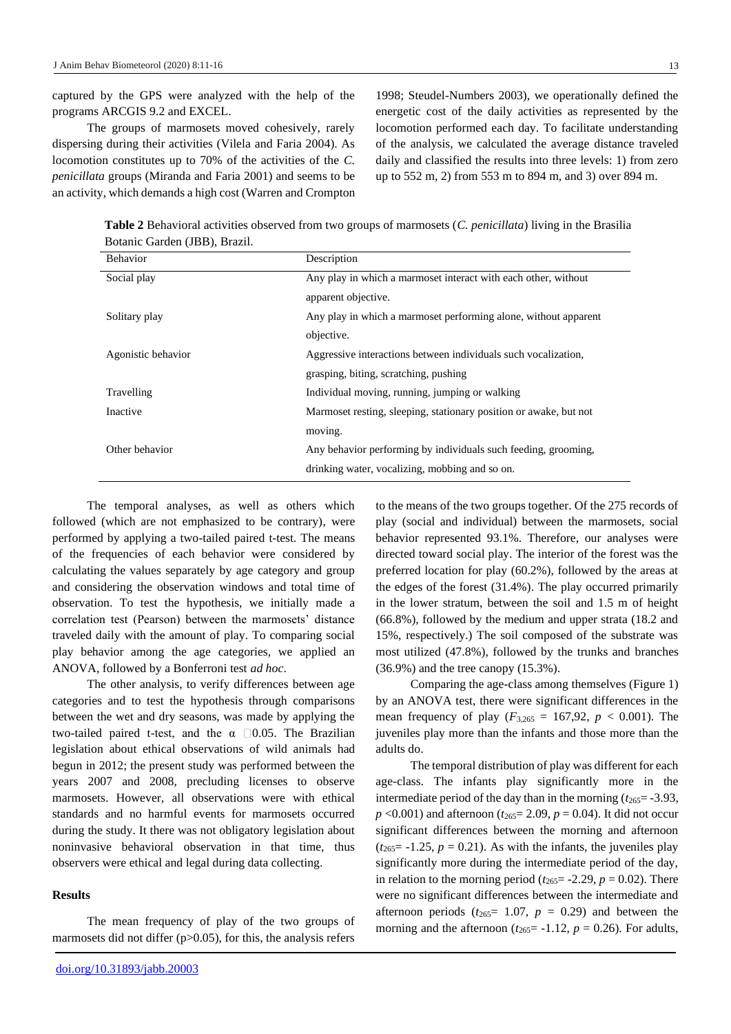captured by the GPS were analyzed with the help of the programs ARCGIS 9.2 and EXCEL.

The groups of marmosets moved cohesively, rarely dispersing during their activities (Vilela and Faria 2004). As locomotion constitutes up to 70% of the activities of the *C. penicillata* groups (Miranda and Faria 2001) and seems to be an activity, which demands a high cost (Warren and Crompton

1998; Steudel-Numbers 2003), we operationally defined the energetic cost of the daily activities as represented by the locomotion performed each day. To facilitate understanding of the analysis, we calculated the average distance traveled daily and classified the results into three levels: 1) from zero up to 552 m, 2) from 553 m to 894 m, and 3) over 894 m.

**Table 2** Behavioral activities observed from two groups of marmosets (*C. penicillata*) living in the Brasilia Botanic Garden (JBB), Brazil.

| <b>Behavior</b>    | Description                                                       |
|--------------------|-------------------------------------------------------------------|
| Social play        | Any play in which a marmoset interact with each other, without    |
|                    | apparent objective.                                               |
| Solitary play      | Any play in which a marmoset performing alone, without apparent   |
|                    | objective.                                                        |
| Agonistic behavior | Aggressive interactions between individuals such vocalization,    |
|                    | grasping, biting, scratching, pushing                             |
| Travelling         | Individual moving, running, jumping or walking                    |
| Inactive           | Marmoset resting, sleeping, stationary position or awake, but not |
|                    | moving.                                                           |
| Other behavior     | Any behavior performing by individuals such feeding, grooming,    |
|                    | drinking water, vocalizing, mobbing and so on.                    |
|                    |                                                                   |

The temporal analyses, as well as others which followed (which are not emphasized to be contrary), were performed by applying a two-tailed paired t-test. The means of the frequencies of each behavior were considered by calculating the values separately by age category and group and considering the observation windows and total time of observation. To test the hypothesis, we initially made a correlation test (Pearson) between the marmosets' distance traveled daily with the amount of play. To comparing social play behavior among the age categories, we applied an ANOVA, followed by a Bonferroni test *ad hoc*.

The other analysis, to verify differences between age categories and to test the hypothesis through comparisons between the wet and dry seasons, was made by applying the two-tailed paired t-test, and the  $\alpha$  0.05. The Brazilian legislation about ethical observations of wild animals had begun in 2012; the present study was performed between the years 2007 and 2008, precluding licenses to observe marmosets. However, all observations were with ethical standards and no harmful events for marmosets occurred during the study. It there was not obligatory legislation about noninvasive behavioral observation in that time, thus observers were ethical and legal during data collecting.

#### **Results**

The mean frequency of play of the two groups of marmosets did not differ  $(p>0.05)$ , for this, the analysis refers to the means of the two groups together. Of the 275 records of play (social and individual) between the marmosets, social behavior represented 93.1%. Therefore, our analyses were directed toward social play. The interior of the forest was the preferred location for play (60.2%), followed by the areas at the edges of the forest (31.4%). The play occurred primarily in the lower stratum, between the soil and 1.5 m of height (66.8%), followed by the medium and upper strata (18.2 and 15%, respectively.) The soil composed of the substrate was most utilized (47.8%), followed by the trunks and branches (36.9%) and the tree canopy (15.3%).

Comparing the age-class among themselves (Figure 1) by an ANOVA test, there were significant differences in the mean frequency of play  $(F_{3,265} = 167,92, p < 0.001)$ . The juveniles play more than the infants and those more than the adults do.

The temporal distribution of play was different for each age-class. The infants play significantly more in the intermediate period of the day than in the morning  $(t_{265} = -3.93,$  $p$  <0.001) and afternoon ( $t_{265}$ = 2.09,  $p$  = 0.04). It did not occur significant differences between the morning and afternoon  $(t_{265} = -1.25, p = 0.21)$ . As with the infants, the juveniles play significantly more during the intermediate period of the day, in relation to the morning period ( $t_{265}$ = -2.29,  $p$  = 0.02). There were no significant differences between the intermediate and afternoon periods ( $t_{265}$ = 1.07,  $p = 0.29$ ) and between the morning and the afternoon  $(t_{265} = -1.12, p = 0.26)$ . For adults,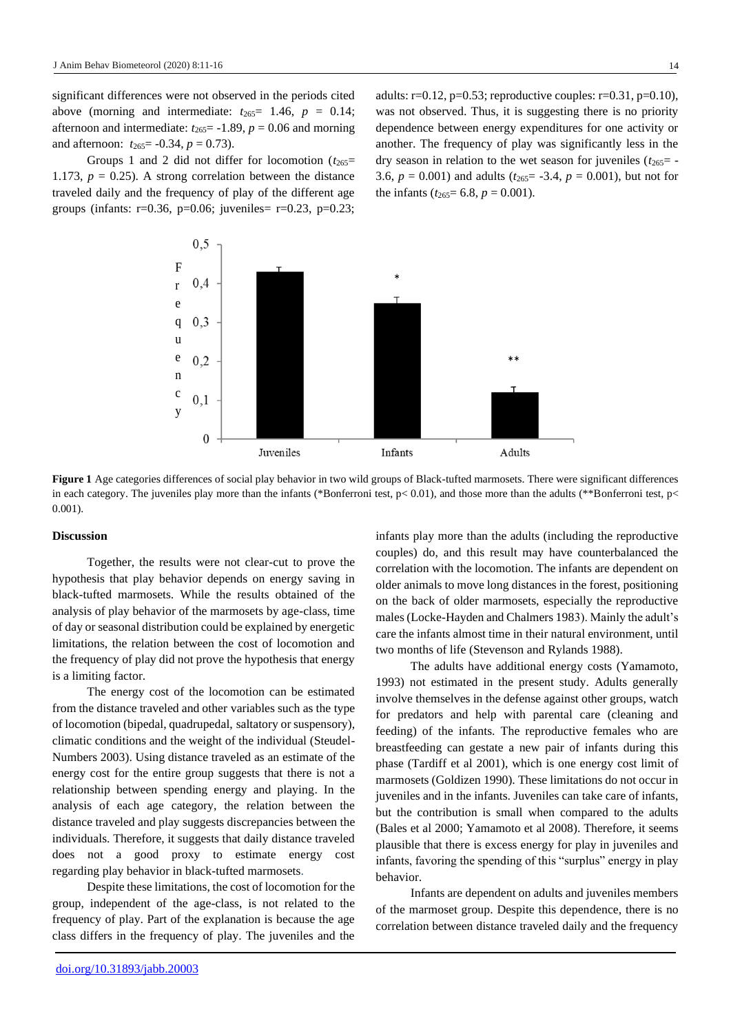significant differences were not observed in the periods cited above (morning and intermediate:  $t_{265} = 1.46$ ,  $p = 0.14$ ; afternoon and intermediate:  $t_{265}$  = -1.89,  $p = 0.06$  and morning and afternoon:  $t_{265} = -0.34$ ,  $p = 0.73$ ).

Groups 1 and 2 did not differ for locomotion  $(t_{265}=$ 1.173,  $p = 0.25$ ). A strong correlation between the distance traveled daily and the frequency of play of the different age groups (infants:  $r=0.36$ ,  $p=0.06$ ; juveniles=  $r=0.23$ ,  $p=0.23$ ; adults:  $r=0.12$ ,  $p=0.53$ ; reproductive couples:  $r=0.31$ ,  $p=0.10$ ), was not observed. Thus, it is suggesting there is no priority dependence between energy expenditures for one activity or another. The frequency of play was significantly less in the dry season in relation to the wet season for juveniles  $(t_{265} = -1)$ 3.6,  $p = 0.001$ ) and adults ( $t_{265} = -3.4$ ,  $p = 0.001$ ), but not for the infants ( $t_{265}$ = 6.8,  $p$  = 0.001).



**Figure 1** Age categories differences of social play behavior in two wild groups of Black-tufted marmosets. There were significant differences in each category. The juveniles play more than the infants (\*Bonferroni test,  $p < 0.01$ ), and those more than the adults (\*\*Bonferroni test,  $p <$ 0.001).

#### **Discussion**

Together, the results were not clear-cut to prove the hypothesis that play behavior depends on energy saving in black-tufted marmosets. While the results obtained of the analysis of play behavior of the marmosets by age-class, time of day or seasonal distribution could be explained by energetic limitations, the relation between the cost of locomotion and the frequency of play did not prove the hypothesis that energy is a limiting factor.

The energy cost of the locomotion can be estimated from the distance traveled and other variables such as the type of locomotion (bipedal, quadrupedal, saltatory or suspensory), climatic conditions and the weight of the individual (Steudel-Numbers 2003). Using distance traveled as an estimate of the energy cost for the entire group suggests that there is not a relationship between spending energy and playing. In the analysis of each age category, the relation between the distance traveled and play suggests discrepancies between the individuals. Therefore, it suggests that daily distance traveled does not a good proxy to estimate energy cost regarding play behavior in black-tufted marmosets.

Despite these limitations, the cost of locomotion for the group, independent of the age-class, is not related to the frequency of play. Part of the explanation is because the age class differs in the frequency of play. The juveniles and the

infants play more than the adults (including the reproductive couples) do, and this result may have counterbalanced the correlation with the locomotion. The infants are dependent on older animals to move long distances in the forest, positioning on the back of older marmosets, especially the reproductive males (Locke-Hayden and Chalmers 1983). Mainly the adult's care the infants almost time in their natural environment, until two months of life (Stevenson and Rylands 1988).

The adults have additional energy costs (Yamamoto, 1993) not estimated in the present study. Adults generally involve themselves in the defense against other groups, watch for predators and help with parental care (cleaning and feeding) of the infants. The reproductive females who are breastfeeding can gestate a new pair of infants during this phase (Tardiff et al 2001), which is one energy cost limit of marmosets (Goldizen 1990). These limitations do not occur in juveniles and in the infants. Juveniles can take care of infants, but the contribution is small when compared to the adults (Bales et al 2000; Yamamoto et al 2008). Therefore, it seems plausible that there is excess energy for play in juveniles and infants, favoring the spending of this "surplus" energy in play behavior.

Infants are dependent on adults and juveniles members of the marmoset group. Despite this dependence, there is no correlation between distance traveled daily and the frequency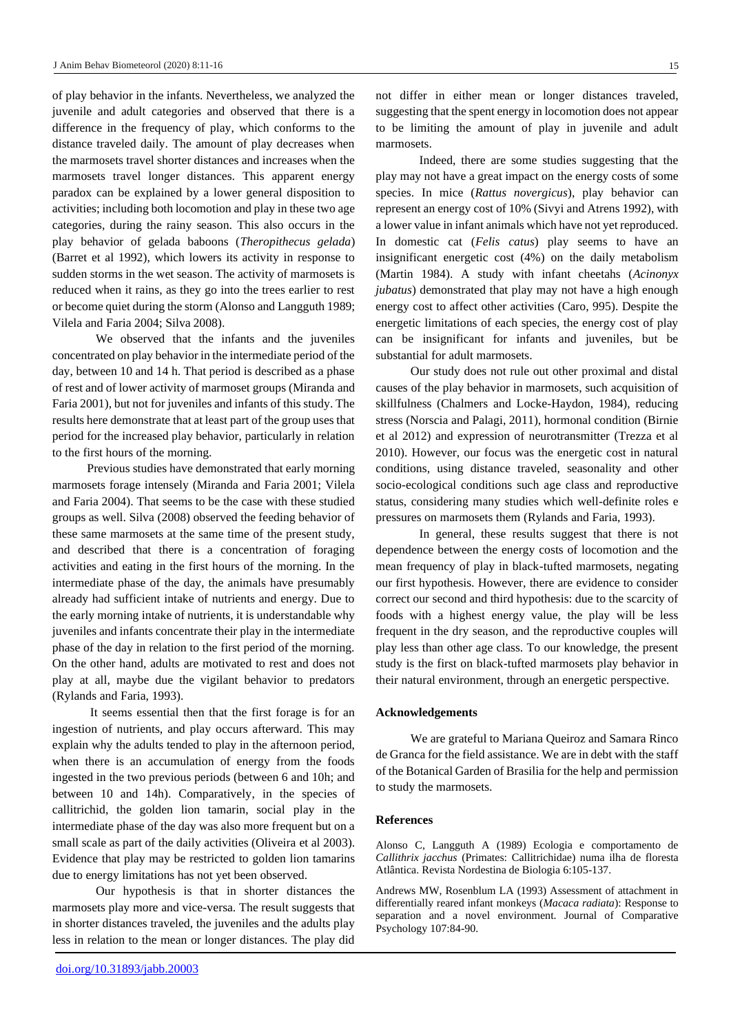of play behavior in the infants. Nevertheless, we analyzed the juvenile and adult categories and observed that there is a difference in the frequency of play, which conforms to the distance traveled daily. The amount of play decreases when the marmosets travel shorter distances and increases when the marmosets travel longer distances. This apparent energy paradox can be explained by a lower general disposition to activities; including both locomotion and play in these two age categories, during the rainy season. This also occurs in the play behavior of gelada baboons (*Theropithecus gelada*) (Barret et al 1992), which lowers its activity in response to sudden storms in the wet season. The activity of marmosets is reduced when it rains, as they go into the trees earlier to rest or become quiet during the storm (Alonso and Langguth 1989; Vilela and Faria 2004; Silva 2008).

We observed that the infants and the juveniles concentrated on play behavior in the intermediate period of the day, between 10 and 14 h. That period is described as a phase of rest and of lower activity of marmoset groups (Miranda and Faria 2001), but not for juveniles and infants of this study. The results here demonstrate that at least part of the group uses that period for the increased play behavior, particularly in relation to the first hours of the morning.

Previous studies have demonstrated that early morning marmosets forage intensely (Miranda and Faria 2001; Vilela and Faria 2004). That seems to be the case with these studied groups as well. Silva (2008) observed the feeding behavior of these same marmosets at the same time of the present study, and described that there is a concentration of foraging activities and eating in the first hours of the morning. In the intermediate phase of the day, the animals have presumably already had sufficient intake of nutrients and energy. Due to the early morning intake of nutrients, it is understandable why juveniles and infants concentrate their play in the intermediate phase of the day in relation to the first period of the morning. On the other hand, adults are motivated to rest and does not play at all, maybe due the vigilant behavior to predators (Rylands and Faria, 1993).

It seems essential then that the first forage is for an ingestion of nutrients, and play occurs afterward. This may explain why the adults tended to play in the afternoon period, when there is an accumulation of energy from the foods ingested in the two previous periods (between 6 and 10h; and between 10 and 14h). Comparatively, in the species of callitrichid, the golden lion tamarin, social play in the intermediate phase of the day was also more frequent but on a small scale as part of the daily activities (Oliveira et al 2003). Evidence that play may be restricted to golden lion tamarins due to energy limitations has not yet been observed.

Our hypothesis is that in shorter distances the marmosets play more and vice-versa. The result suggests that in shorter distances traveled, the juveniles and the adults play less in relation to the mean or longer distances. The play did

not differ in either mean or longer distances traveled, suggesting that the spent energy in locomotion does not appear to be limiting the amount of play in juvenile and adult marmosets.

Indeed, there are some studies suggesting that the play may not have a great impact on the energy costs of some species. In mice (*Rattus novergicus*), play behavior can represent an energy cost of 10% (Sivyi and Atrens 1992), with a lower value in infant animals which have not yet reproduced. In domestic cat (*Felis catus*) play seems to have an insignificant energetic cost (4%) on the daily metabolism (Martin 1984). A study with infant cheetahs (*Acinonyx jubatus*) demonstrated that play may not have a high enough energy cost to affect other activities (Caro, 995). Despite the energetic limitations of each species, the energy cost of play can be insignificant for infants and juveniles, but be substantial for adult marmosets.

Our study does not rule out other proximal and distal causes of the play behavior in marmosets, such acquisition of skillfulness (Chalmers and Locke-Haydon, 1984), reducing stress (Norscia and Palagi, 2011), hormonal condition (Birnie et al 2012) and expression of neurotransmitter (Trezza et al 2010). However, our focus was the energetic cost in natural conditions, using distance traveled, seasonality and other socio-ecological conditions such age class and reproductive status, considering many studies which well-definite roles e pressures on marmosets them (Rylands and Faria, 1993).

In general, these results suggest that there is not dependence between the energy costs of locomotion and the mean frequency of play in black-tufted marmosets, negating our first hypothesis. However, there are evidence to consider correct our second and third hypothesis: due to the scarcity of foods with a highest energy value, the play will be less frequent in the dry season, and the reproductive couples will play less than other age class. To our knowledge, the present study is the first on black-tufted marmosets play behavior in their natural environment, through an energetic perspective.

#### **Acknowledgements**

We are grateful to Mariana Queiroz and Samara Rinco de Granca for the field assistance. We are in debt with the staff of the Botanical Garden of Brasilia for the help and permission to study the marmosets.

#### **References**

Alonso C, Langguth A (1989) Ecologia e comportamento de *Callithrix jacchus* (Primates: Callitrichidae) numa ilha de floresta Atlântica. Revista Nordestina de Biologia 6:105-137.

Andrews MW, Rosenblum LA (1993) Assessment of attachment in differentially reared infant monkeys (*Macaca radiata*): Response to separation and a novel environment. Journal of Comparative Psychology 107:84-90.